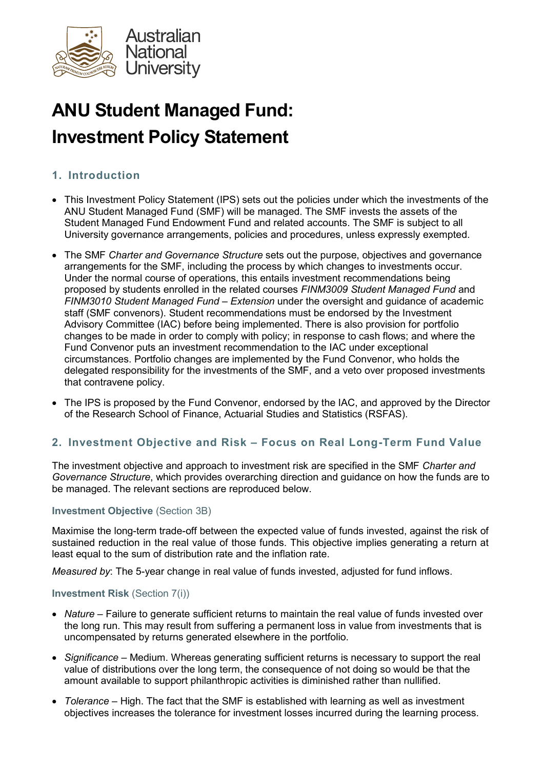

# ANU Student Managed Fund: Investment Policy Statement

# 1. Introduction

- This Investment Policy Statement (IPS) sets out the policies under which the investments of the ANU Student Managed Fund (SMF) will be managed. The SMF invests the assets of the Student Managed Fund Endowment Fund and related accounts. The SMF is subject to all University governance arrangements, policies and procedures, unless expressly exempted.
- The SMF Charter and Governance Structure sets out the purpose, objectives and governance arrangements for the SMF, including the process by which changes to investments occur. Under the normal course of operations, this entails investment recommendations being proposed by students enrolled in the related courses FINM3009 Student Managed Fund and FINM3010 Student Managed Fund – Extension under the oversight and guidance of academic staff (SMF convenors). Student recommendations must be endorsed by the Investment Advisory Committee (IAC) before being implemented. There is also provision for portfolio changes to be made in order to comply with policy; in response to cash flows; and where the Fund Convenor puts an investment recommendation to the IAC under exceptional circumstances. Portfolio changes are implemented by the Fund Convenor, who holds the delegated responsibility for the investments of the SMF, and a veto over proposed investments that contravene policy.
- The IPS is proposed by the Fund Convenor, endorsed by the IAC, and approved by the Director of the Research School of Finance, Actuarial Studies and Statistics (RSFAS).

# 2. Investment Objective and Risk – Focus on Real Long-Term Fund Value

The investment objective and approach to investment risk are specified in the SMF Charter and Governance Structure, which provides overarching direction and quidance on how the funds are to be managed. The relevant sections are reproduced below.

#### Investment Objective (Section 3B)

Maximise the long-term trade-off between the expected value of funds invested, against the risk of sustained reduction in the real value of those funds. This objective implies generating a return at least equal to the sum of distribution rate and the inflation rate.

Measured by: The 5-year change in real value of funds invested, adjusted for fund inflows.

#### Investment Risk (Section 7(i))

- Nature Failure to generate sufficient returns to maintain the real value of funds invested over the long run. This may result from suffering a permanent loss in value from investments that is uncompensated by returns generated elsewhere in the portfolio.
- Significance Medium. Whereas generating sufficient returns is necessary to support the real value of distributions over the long term, the consequence of not doing so would be that the amount available to support philanthropic activities is diminished rather than nullified.
- Tolerance High. The fact that the SMF is established with learning as well as investment objectives increases the tolerance for investment losses incurred during the learning process.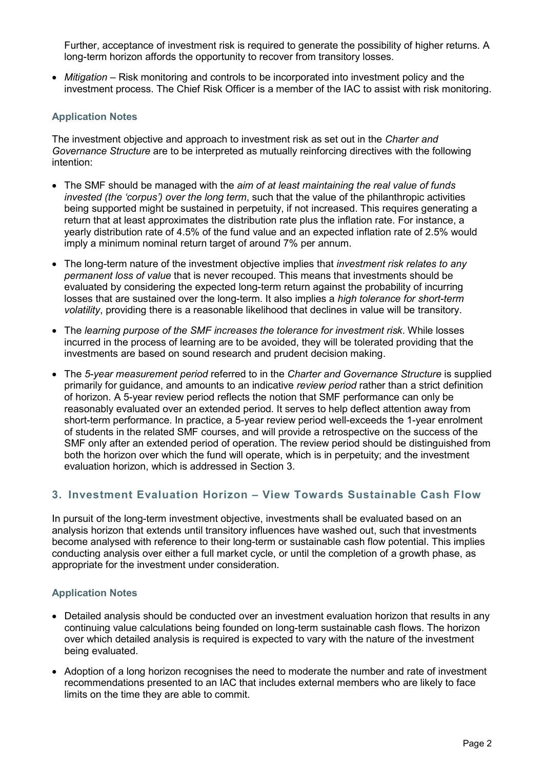Further, acceptance of investment risk is required to generate the possibility of higher returns. A long-term horizon affords the opportunity to recover from transitory losses.

 $\bullet$  *Mitigation* – Risk monitoring and controls to be incorporated into investment policy and the investment process. The Chief Risk Officer is a member of the IAC to assist with risk monitoring.

#### Application Notes

The investment objective and approach to investment risk as set out in the Charter and Governance Structure are to be interpreted as mutually reinforcing directives with the following intention:

- The SMF should be managed with the aim of at least maintaining the real value of funds invested (the 'corpus') over the long term, such that the value of the philanthropic activities being supported might be sustained in perpetuity, if not increased. This requires generating a return that at least approximates the distribution rate plus the inflation rate. For instance, a yearly distribution rate of 4.5% of the fund value and an expected inflation rate of 2.5% would imply a minimum nominal return target of around 7% per annum.
- The long-term nature of the investment objective implies that *investment risk relates to any* permanent loss of value that is never recouped. This means that investments should be evaluated by considering the expected long-term return against the probability of incurring losses that are sustained over the long-term. It also implies a high tolerance for short-term volatility, providing there is a reasonable likelihood that declines in value will be transitory.
- The learning purpose of the SMF increases the tolerance for investment risk. While losses incurred in the process of learning are to be avoided, they will be tolerated providing that the investments are based on sound research and prudent decision making.
- The 5-year measurement period referred to in the Charter and Governance Structure is supplied primarily for guidance, and amounts to an indicative review period rather than a strict definition of horizon. A 5-year review period reflects the notion that SMF performance can only be reasonably evaluated over an extended period. It serves to help deflect attention away from short-term performance. In practice, a 5-year review period well-exceeds the 1-year enrolment of students in the related SMF courses, and will provide a retrospective on the success of the SMF only after an extended period of operation. The review period should be distinguished from both the horizon over which the fund will operate, which is in perpetuity; and the investment evaluation horizon, which is addressed in Section 3.

# 3. Investment Evaluation Horizon – View Towards Sustainable Cash Flow

In pursuit of the long-term investment objective, investments shall be evaluated based on an analysis horizon that extends until transitory influences have washed out, such that investments become analysed with reference to their long-term or sustainable cash flow potential. This implies conducting analysis over either a full market cycle, or until the completion of a growth phase, as appropriate for the investment under consideration.

#### Application Notes

- Detailed analysis should be conducted over an investment evaluation horizon that results in any continuing value calculations being founded on long-term sustainable cash flows. The horizon over which detailed analysis is required is expected to vary with the nature of the investment being evaluated.
- Adoption of a long horizon recognises the need to moderate the number and rate of investment recommendations presented to an IAC that includes external members who are likely to face limits on the time they are able to commit.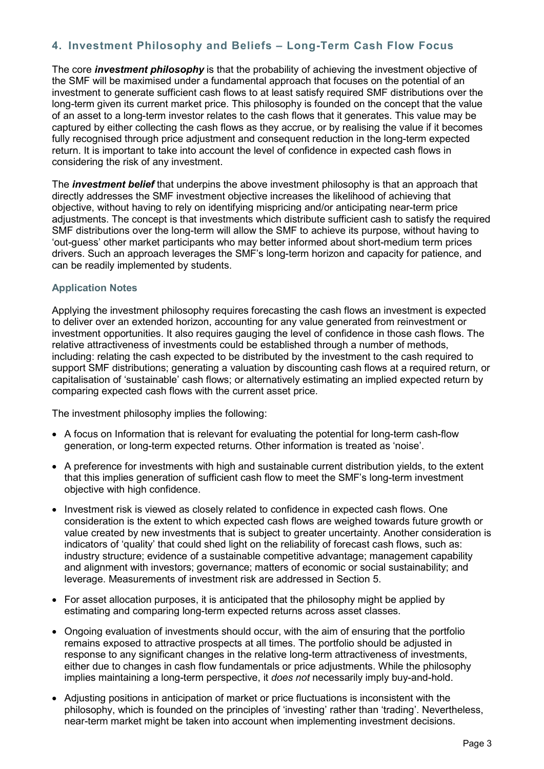# 4. Investment Philosophy and Beliefs – Long-Term Cash Flow Focus

The core *investment philosophy* is that the probability of achieving the investment objective of the SMF will be maximised under a fundamental approach that focuses on the potential of an investment to generate sufficient cash flows to at least satisfy required SMF distributions over the long-term given its current market price. This philosophy is founded on the concept that the value of an asset to a long-term investor relates to the cash flows that it generates. This value may be captured by either collecting the cash flows as they accrue, or by realising the value if it becomes fully recognised through price adjustment and consequent reduction in the long-term expected return. It is important to take into account the level of confidence in expected cash flows in considering the risk of any investment.

The *investment belief* that underpins the above investment philosophy is that an approach that directly addresses the SMF investment objective increases the likelihood of achieving that objective, without having to rely on identifying mispricing and/or anticipating near-term price adjustments. The concept is that investments which distribute sufficient cash to satisfy the required SMF distributions over the long-term will allow the SMF to achieve its purpose, without having to 'out-guess' other market participants who may better informed about short-medium term prices drivers. Such an approach leverages the SMF's long-term horizon and capacity for patience, and can be readily implemented by students.

#### Application Notes

Applying the investment philosophy requires forecasting the cash flows an investment is expected to deliver over an extended horizon, accounting for any value generated from reinvestment or investment opportunities. It also requires gauging the level of confidence in those cash flows. The relative attractiveness of investments could be established through a number of methods, including: relating the cash expected to be distributed by the investment to the cash required to support SMF distributions; generating a valuation by discounting cash flows at a required return, or capitalisation of 'sustainable' cash flows; or alternatively estimating an implied expected return by comparing expected cash flows with the current asset price.

The investment philosophy implies the following:

- A focus on Information that is relevant for evaluating the potential for long-term cash-flow generation, or long-term expected returns. Other information is treated as 'noise'.
- A preference for investments with high and sustainable current distribution yields, to the extent that this implies generation of sufficient cash flow to meet the SMF's long-term investment objective with high confidence.
- Investment risk is viewed as closely related to confidence in expected cash flows. One consideration is the extent to which expected cash flows are weighed towards future growth or value created by new investments that is subject to greater uncertainty. Another consideration is indicators of 'quality' that could shed light on the reliability of forecast cash flows, such as: industry structure; evidence of a sustainable competitive advantage; management capability and alignment with investors; governance; matters of economic or social sustainability; and leverage. Measurements of investment risk are addressed in Section 5.
- For asset allocation purposes, it is anticipated that the philosophy might be applied by estimating and comparing long-term expected returns across asset classes.
- Ongoing evaluation of investments should occur, with the aim of ensuring that the portfolio remains exposed to attractive prospects at all times. The portfolio should be adjusted in response to any significant changes in the relative long-term attractiveness of investments, either due to changes in cash flow fundamentals or price adjustments. While the philosophy implies maintaining a long-term perspective, it *does not* necessarily imply buy-and-hold.
- Adjusting positions in anticipation of market or price fluctuations is inconsistent with the philosophy, which is founded on the principles of 'investing' rather than 'trading'. Nevertheless, near-term market might be taken into account when implementing investment decisions.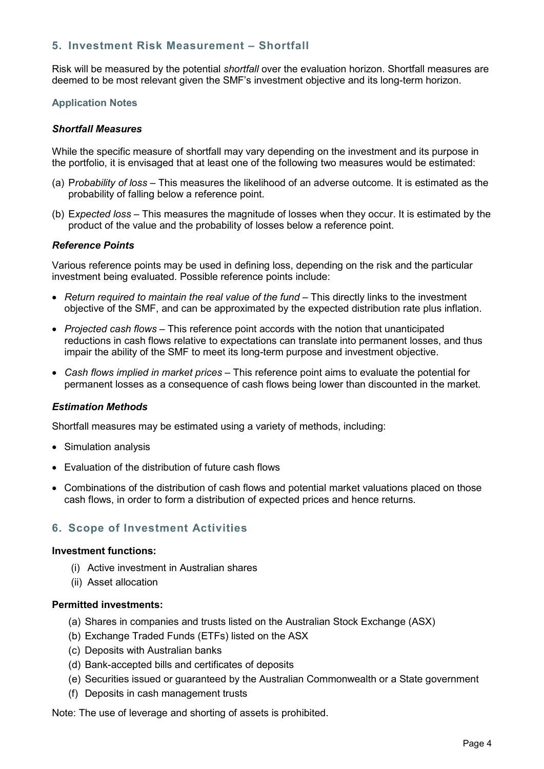## 5. Investment Risk Measurement – Shortfall

Risk will be measured by the potential *shortfall* over the evaluation horizon. Shortfall measures are deemed to be most relevant given the SMF's investment objective and its long-term horizon.

#### Application Notes

#### Shortfall Measures

While the specific measure of shortfall may vary depending on the investment and its purpose in the portfolio, it is envisaged that at least one of the following two measures would be estimated:

- (a) Probability of loss This measures the likelihood of an adverse outcome. It is estimated as the probability of falling below a reference point.
- (b) Expected loss This measures the magnitude of losses when they occur. It is estimated by the product of the value and the probability of losses below a reference point.

#### Reference Points

Various reference points may be used in defining loss, depending on the risk and the particular investment being evaluated. Possible reference points include:

- Return required to maintain the real value of the fund This directly links to the investment objective of the SMF, and can be approximated by the expected distribution rate plus inflation.
- Projected cash flows This reference point accords with the notion that unanticipated reductions in cash flows relative to expectations can translate into permanent losses, and thus impair the ability of the SMF to meet its long-term purpose and investment objective.
- Cash flows implied in market prices This reference point aims to evaluate the potential for permanent losses as a consequence of cash flows being lower than discounted in the market.

#### Estimation Methods

Shortfall measures may be estimated using a variety of methods, including:

- Simulation analysis
- Evaluation of the distribution of future cash flows
- Combinations of the distribution of cash flows and potential market valuations placed on those cash flows, in order to form a distribution of expected prices and hence returns.

# 6. Scope of Investment Activities

#### Investment functions:

- (i) Active investment in Australian shares
- (ii) Asset allocation

## Permitted investments:

- (a) Shares in companies and trusts listed on the Australian Stock Exchange (ASX)
- (b) Exchange Traded Funds (ETFs) listed on the ASX
- (c) Deposits with Australian banks
- (d) Bank-accepted bills and certificates of deposits
- (e) Securities issued or guaranteed by the Australian Commonwealth or a State government
- (f) Deposits in cash management trusts

Note: The use of leverage and shorting of assets is prohibited.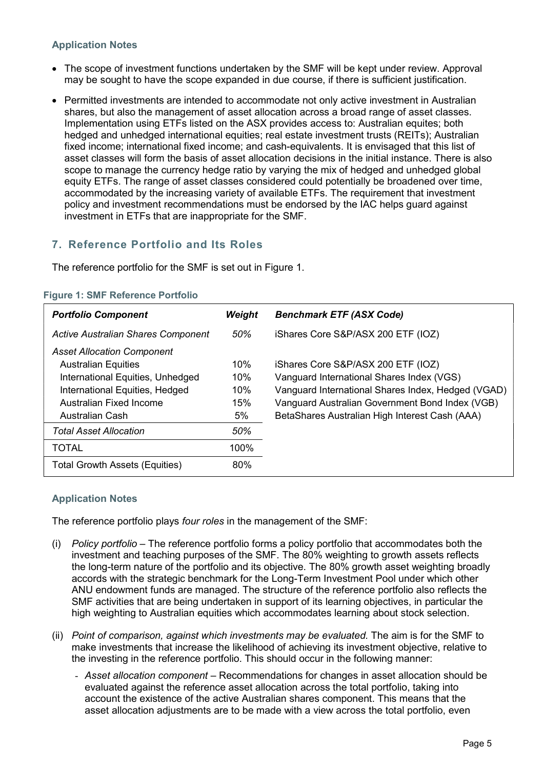## Application Notes

- The scope of investment functions undertaken by the SMF will be kept under review. Approval may be sought to have the scope expanded in due course, if there is sufficient justification.
- Permitted investments are intended to accommodate not only active investment in Australian shares, but also the management of asset allocation across a broad range of asset classes. Implementation using ETFs listed on the ASX provides access to: Australian equites; both hedged and unhedged international equities; real estate investment trusts (REITs); Australian fixed income; international fixed income; and cash-equivalents. It is envisaged that this list of asset classes will form the basis of asset allocation decisions in the initial instance. There is also scope to manage the currency hedge ratio by varying the mix of hedged and unhedged global equity ETFs. The range of asset classes considered could potentially be broadened over time, accommodated by the increasing variety of available ETFs. The requirement that investment policy and investment recommendations must be endorsed by the IAC helps guard against investment in ETFs that are inappropriate for the SMF.

# 7. Reference Portfolio and Its Roles

The reference portfolio for the SMF is set out in Figure 1.

| <b>Portfolio Component</b>                | Weight | <b>Benchmark ETF (ASX Code)</b>                    |
|-------------------------------------------|--------|----------------------------------------------------|
| <b>Active Australian Shares Component</b> | 50%    | iShares Core S&P/ASX 200 ETF (IOZ)                 |
| <b>Asset Allocation Component</b>         |        |                                                    |
| <b>Australian Equities</b>                | 10%    | iShares Core S&P/ASX 200 ETF (IOZ)                 |
| International Equities, Unhedged          | 10%    | Vanguard International Shares Index (VGS)          |
| International Equities, Hedged            | 10%    | Vanguard International Shares Index, Hedged (VGAD) |
| Australian Fixed Income                   | 15%    | Vanguard Australian Government Bond Index (VGB)    |
| <b>Australian Cash</b>                    | 5%     | BetaShares Australian High Interest Cash (AAA)     |
| <b>Total Asset Allocation</b>             | 50%    |                                                    |
| <b>TOTAL</b>                              | 100%   |                                                    |
| <b>Total Growth Assets (Equities)</b>     | 80%    |                                                    |
|                                           |        |                                                    |

#### Figure 1: SMF Reference Portfolio

#### Application Notes

The reference portfolio plays four roles in the management of the SMF:

- (i) Policy portfolio The reference portfolio forms a policy portfolio that accommodates both the investment and teaching purposes of the SMF. The 80% weighting to growth assets reflects the long-term nature of the portfolio and its objective. The 80% growth asset weighting broadly accords with the strategic benchmark for the Long-Term Investment Pool under which other ANU endowment funds are managed. The structure of the reference portfolio also reflects the SMF activities that are being undertaken in support of its learning objectives, in particular the high weighting to Australian equities which accommodates learning about stock selection.
- (ii) Point of comparison, against which investments may be evaluated. The aim is for the SMF to make investments that increase the likelihood of achieving its investment objective, relative to the investing in the reference portfolio. This should occur in the following manner:
	- Asset allocation component Recommendations for changes in asset allocation should be evaluated against the reference asset allocation across the total portfolio, taking into account the existence of the active Australian shares component. This means that the asset allocation adjustments are to be made with a view across the total portfolio, even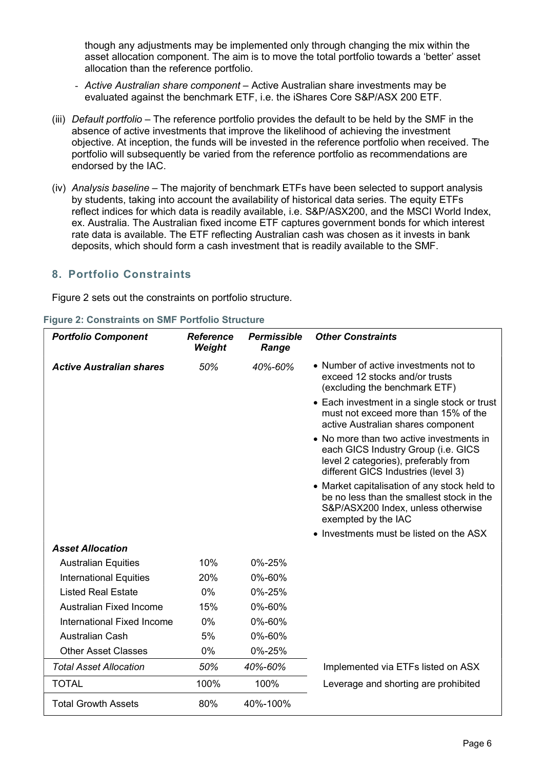though any adjustments may be implemented only through changing the mix within the asset allocation component. The aim is to move the total portfolio towards a 'better' asset allocation than the reference portfolio.

- Active Australian share component Active Australian share investments may be evaluated against the benchmark ETF, i.e. the iShares Core S&P/ASX 200 ETF.
- (iii) Default portfolio The reference portfolio provides the default to be held by the SMF in the absence of active investments that improve the likelihood of achieving the investment objective. At inception, the funds will be invested in the reference portfolio when received. The portfolio will subsequently be varied from the reference portfolio as recommendations are endorsed by the IAC.
- (iv) Analysis baseline The majority of benchmark ETFs have been selected to support analysis by students, taking into account the availability of historical data series. The equity ETFs reflect indices for which data is readily available, i.e. S&P/ASX200, and the MSCI World Index, ex. Australia. The Australian fixed income ETF captures government bonds for which interest rate data is available. The ETF reflecting Australian cash was chosen as it invests in bank deposits, which should form a cash investment that is readily available to the SMF.

# 8. Portfolio Constraints

Figure 2 sets out the constraints on portfolio structure.

| <b>Portfolio Component</b>      | <b>Reference</b><br>Weight | <b>Permissible</b><br>Range | <b>Other Constraints</b>                                                                                                                                       |
|---------------------------------|----------------------------|-----------------------------|----------------------------------------------------------------------------------------------------------------------------------------------------------------|
| <b>Active Australian shares</b> | 50%                        | 40%-60%                     | • Number of active investments not to<br>exceed 12 stocks and/or trusts<br>(excluding the benchmark ETF)                                                       |
|                                 |                            |                             | • Each investment in a single stock or trust<br>must not exceed more than 15% of the<br>active Australian shares component                                     |
|                                 |                            |                             | • No more than two active investments in<br>each GICS Industry Group (i.e. GICS<br>level 2 categories), preferably from<br>different GICS Industries (level 3) |
|                                 |                            |                             | • Market capitalisation of any stock held to<br>be no less than the smallest stock in the<br>S&P/ASX200 Index, unless otherwise<br>exempted by the IAC         |
|                                 |                            |                             | • Investments must be listed on the ASX                                                                                                                        |
| <b>Asset Allocation</b>         |                            |                             |                                                                                                                                                                |
| <b>Australian Equities</b>      | 10%                        | 0%-25%                      |                                                                                                                                                                |
| <b>International Equities</b>   | 20%                        | 0%-60%                      |                                                                                                                                                                |
| <b>Listed Real Estate</b>       | $0\%$                      | 0%-25%                      |                                                                                                                                                                |
| <b>Australian Fixed Income</b>  | 15%                        | 0%-60%                      |                                                                                                                                                                |
| International Fixed Income      | 0%                         | 0%-60%                      |                                                                                                                                                                |
| <b>Australian Cash</b>          | 5%                         | 0%-60%                      |                                                                                                                                                                |
| <b>Other Asset Classes</b>      | 0%                         | 0%-25%                      |                                                                                                                                                                |
| <b>Total Asset Allocation</b>   | 50%                        | 40%-60%                     | Implemented via ETFs listed on ASX                                                                                                                             |
| <b>TOTAL</b>                    | 100%                       | 100%                        | Leverage and shorting are prohibited                                                                                                                           |
| <b>Total Growth Assets</b>      | 80%                        | 40%-100%                    |                                                                                                                                                                |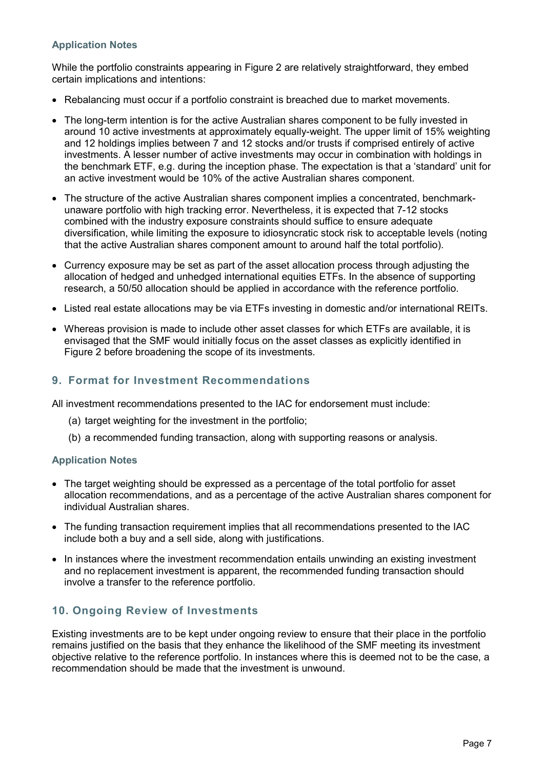## Application Notes

While the portfolio constraints appearing in Figure 2 are relatively straightforward, they embed certain implications and intentions:

- Rebalancing must occur if a portfolio constraint is breached due to market movements.
- The long-term intention is for the active Australian shares component to be fully invested in around 10 active investments at approximately equally-weight. The upper limit of 15% weighting and 12 holdings implies between 7 and 12 stocks and/or trusts if comprised entirely of active investments. A lesser number of active investments may occur in combination with holdings in the benchmark ETF, e.g. during the inception phase. The expectation is that a 'standard' unit for an active investment would be 10% of the active Australian shares component.
- The structure of the active Australian shares component implies a concentrated, benchmarkunaware portfolio with high tracking error. Nevertheless, it is expected that 7-12 stocks combined with the industry exposure constraints should suffice to ensure adequate diversification, while limiting the exposure to idiosyncratic stock risk to acceptable levels (noting that the active Australian shares component amount to around half the total portfolio).
- Currency exposure may be set as part of the asset allocation process through adjusting the allocation of hedged and unhedged international equities ETFs. In the absence of supporting research, a 50/50 allocation should be applied in accordance with the reference portfolio.
- Listed real estate allocations may be via ETFs investing in domestic and/or international REITs.
- Whereas provision is made to include other asset classes for which ETFs are available, it is envisaged that the SMF would initially focus on the asset classes as explicitly identified in Figure 2 before broadening the scope of its investments.

# 9. Format for Investment Recommendations

All investment recommendations presented to the IAC for endorsement must include:

- (a) target weighting for the investment in the portfolio;
- (b) a recommended funding transaction, along with supporting reasons or analysis.

#### Application Notes

- The target weighting should be expressed as a percentage of the total portfolio for asset allocation recommendations, and as a percentage of the active Australian shares component for individual Australian shares.
- The funding transaction requirement implies that all recommendations presented to the IAC include both a buy and a sell side, along with justifications.
- In instances where the investment recommendation entails unwinding an existing investment and no replacement investment is apparent, the recommended funding transaction should involve a transfer to the reference portfolio.

# 10. Ongoing Review of Investments

Existing investments are to be kept under ongoing review to ensure that their place in the portfolio remains justified on the basis that they enhance the likelihood of the SMF meeting its investment objective relative to the reference portfolio. In instances where this is deemed not to be the case, a recommendation should be made that the investment is unwound.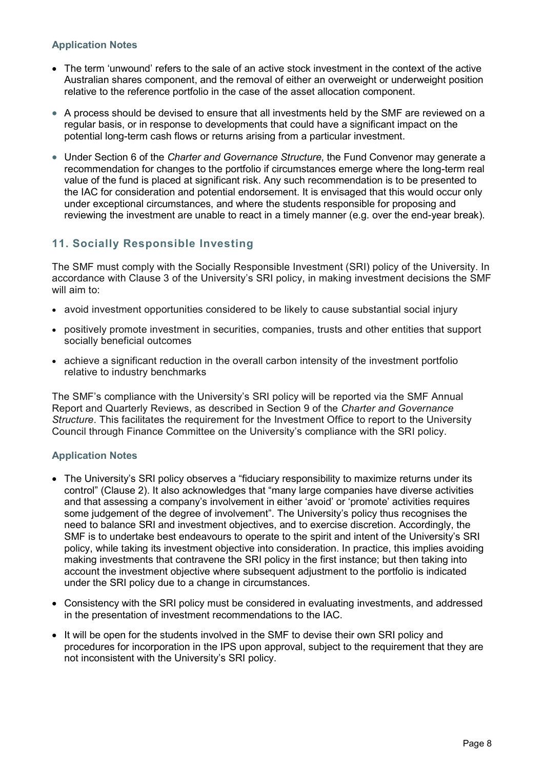## Application Notes

- The term 'unwound' refers to the sale of an active stock investment in the context of the active Australian shares component, and the removal of either an overweight or underweight position relative to the reference portfolio in the case of the asset allocation component.
- A process should be devised to ensure that all investments held by the SMF are reviewed on a regular basis, or in response to developments that could have a significant impact on the potential long-term cash flows or returns arising from a particular investment.
- Under Section 6 of the Charter and Governance Structure, the Fund Convenor may generate a recommendation for changes to the portfolio if circumstances emerge where the long-term real value of the fund is placed at significant risk. Any such recommendation is to be presented to the IAC for consideration and potential endorsement. It is envisaged that this would occur only under exceptional circumstances, and where the students responsible for proposing and reviewing the investment are unable to react in a timely manner (e.g. over the end-year break).

# 11. Socially Responsible Investing

The SMF must comply with the Socially Responsible Investment (SRI) policy of the University. In accordance with Clause 3 of the University's SRI policy, in making investment decisions the SMF will aim to:

- avoid investment opportunities considered to be likely to cause substantial social injury
- positively promote investment in securities, companies, trusts and other entities that support socially beneficial outcomes
- achieve a significant reduction in the overall carbon intensity of the investment portfolio relative to industry benchmarks

The SMF's compliance with the University's SRI policy will be reported via the SMF Annual Report and Quarterly Reviews, as described in Section 9 of the Charter and Governance Structure. This facilitates the requirement for the Investment Office to report to the University Council through Finance Committee on the University's compliance with the SRI policy.

#### Application Notes

- The University's SRI policy observes a "fiduciary responsibility to maximize returns under its control" (Clause 2). It also acknowledges that "many large companies have diverse activities and that assessing a company's involvement in either 'avoid' or 'promote' activities requires some judgement of the degree of involvement". The University's policy thus recognises the need to balance SRI and investment objectives, and to exercise discretion. Accordingly, the SMF is to undertake best endeavours to operate to the spirit and intent of the University's SRI policy, while taking its investment objective into consideration. In practice, this implies avoiding making investments that contravene the SRI policy in the first instance; but then taking into account the investment objective where subsequent adjustment to the portfolio is indicated under the SRI policy due to a change in circumstances.
- Consistency with the SRI policy must be considered in evaluating investments, and addressed in the presentation of investment recommendations to the IAC.
- It will be open for the students involved in the SMF to devise their own SRI policy and procedures for incorporation in the IPS upon approval, subject to the requirement that they are not inconsistent with the University's SRI policy.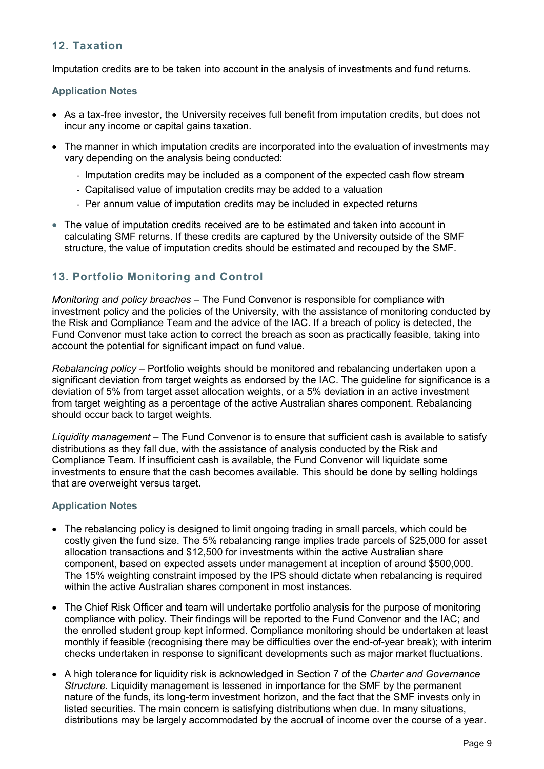# 12. Taxation

Imputation credits are to be taken into account in the analysis of investments and fund returns.

#### Application Notes

- As a tax-free investor, the University receives full benefit from imputation credits, but does not incur any income or capital gains taxation.
- The manner in which imputation credits are incorporated into the evaluation of investments may vary depending on the analysis being conducted:
	- Imputation credits may be included as a component of the expected cash flow stream
	- Capitalised value of imputation credits may be added to a valuation
	- Per annum value of imputation credits may be included in expected returns
- The value of imputation credits received are to be estimated and taken into account in calculating SMF returns. If these credits are captured by the University outside of the SMF structure, the value of imputation credits should be estimated and recouped by the SMF.

# 13. Portfolio Monitoring and Control

Monitoring and policy breaches – The Fund Convenor is responsible for compliance with investment policy and the policies of the University, with the assistance of monitoring conducted by the Risk and Compliance Team and the advice of the IAC. If a breach of policy is detected, the Fund Convenor must take action to correct the breach as soon as practically feasible, taking into account the potential for significant impact on fund value.

Rebalancing policy – Portfolio weights should be monitored and rebalancing undertaken upon a significant deviation from target weights as endorsed by the IAC. The guideline for significance is a deviation of 5% from target asset allocation weights, or a 5% deviation in an active investment from target weighting as a percentage of the active Australian shares component. Rebalancing should occur back to target weights.

Liquidity management – The Fund Convenor is to ensure that sufficient cash is available to satisfy distributions as they fall due, with the assistance of analysis conducted by the Risk and Compliance Team. If insufficient cash is available, the Fund Convenor will liquidate some investments to ensure that the cash becomes available. This should be done by selling holdings that are overweight versus target.

#### Application Notes

- The rebalancing policy is designed to limit ongoing trading in small parcels, which could be costly given the fund size. The 5% rebalancing range implies trade parcels of \$25,000 for asset allocation transactions and \$12,500 for investments within the active Australian share component, based on expected assets under management at inception of around \$500,000. The 15% weighting constraint imposed by the IPS should dictate when rebalancing is required within the active Australian shares component in most instances.
- The Chief Risk Officer and team will undertake portfolio analysis for the purpose of monitoring compliance with policy. Their findings will be reported to the Fund Convenor and the IAC; and the enrolled student group kept informed. Compliance monitoring should be undertaken at least monthly if feasible (recognising there may be difficulties over the end-of-year break); with interim checks undertaken in response to significant developments such as major market fluctuations.
- A high tolerance for liquidity risk is acknowledged in Section 7 of the Charter and Governance Structure. Liquidity management is lessened in importance for the SMF by the permanent nature of the funds, its long-term investment horizon, and the fact that the SMF invests only in listed securities. The main concern is satisfying distributions when due. In many situations, distributions may be largely accommodated by the accrual of income over the course of a year.